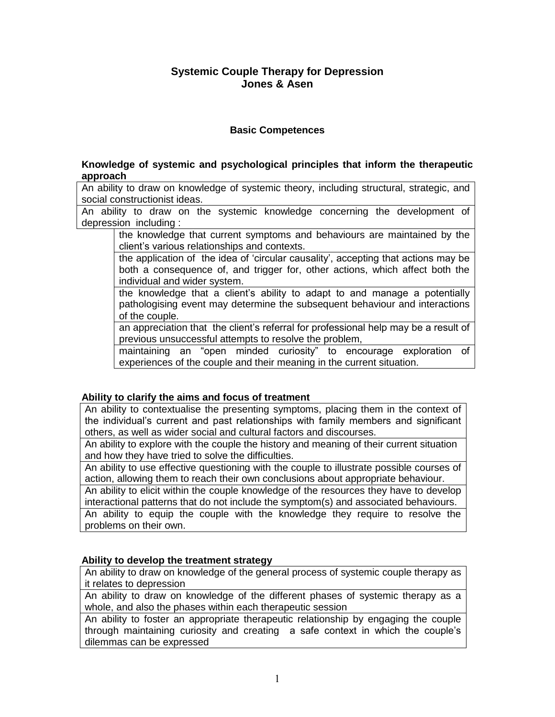# **Systemic Couple Therapy for Depression Jones & Asen**

## **Basic Competences**

### **Knowledge of systemic and psychological principles that inform the therapeutic approach**

An ability to draw on knowledge of systemic theory, including structural, strategic, and social constructionist ideas.

An ability to draw on the systemic knowledge concerning the development of depression including :

the knowledge that current symptoms and behaviours are maintained by the client's various relationships and contexts.

the application of the idea of 'circular causality', accepting that actions may be both a consequence of, and trigger for, other actions, which affect both the individual and wider system.

the knowledge that a client's ability to adapt to and manage a potentially pathologising event may determine the subsequent behaviour and interactions of the couple.

an appreciation that the client's referral for professional help may be a result of previous unsuccessful attempts to resolve the problem,

maintaining an "open minded curiosity" to encourage exploration of experiences of the couple and their meaning in the current situation.

## **Ability to clarify the aims and focus of treatment**

An ability to contextualise the presenting symptoms, placing them in the context of the individual's current and past relationships with family members and significant others, as well as wider social and cultural factors and discourses.

An ability to explore with the couple the history and meaning of their current situation and how they have tried to solve the difficulties.

An ability to use effective questioning with the couple to illustrate possible courses of action, allowing them to reach their own conclusions about appropriate behaviour.

An ability to elicit within the couple knowledge of the resources they have to develop interactional patterns that do not include the symptom(s) and associated behaviours. An ability to equip the couple with the knowledge they require to resolve the

problems on their own.

## **Ability to develop the treatment strategy**

An ability to draw on knowledge of the general process of systemic couple therapy as it relates to depression

An ability to draw on knowledge of the different phases of systemic therapy as a whole, and also the phases within each therapeutic session

An ability to foster an appropriate therapeutic relationship by engaging the couple through maintaining curiosity and creating a safe context in which the couple's dilemmas can be expressed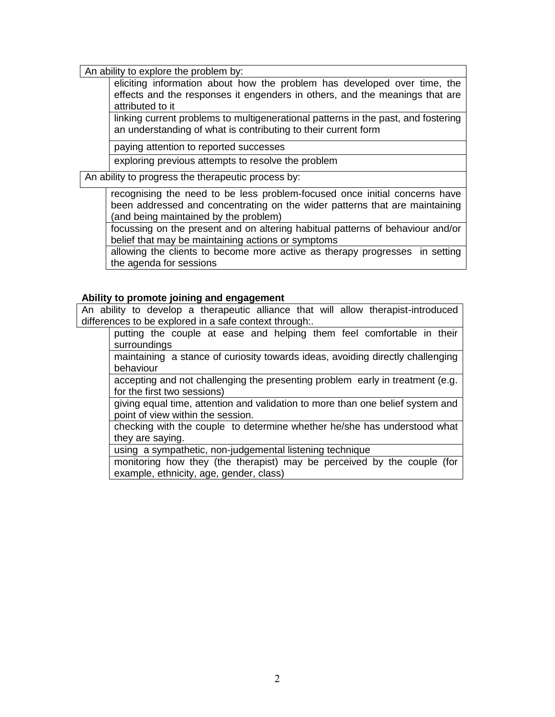An ability to explore the problem by:

eliciting information about how the problem has developed over time, the effects and the responses it engenders in others, and the meanings that are attributed to it

linking current problems to multigenerational patterns in the past, and fostering an understanding of what is contributing to their current form

paying attention to reported successes

exploring previous attempts to resolve the problem

An ability to progress the therapeutic process by:

recognising the need to be less problem-focused once initial concerns have been addressed and concentrating on the wider patterns that are maintaining (and being maintained by the problem)

focussing on the present and on altering habitual patterns of behaviour and/or belief that may be maintaining actions or symptoms

allowing the clients to become more active as therapy progresses in setting the agenda for sessions

#### **Ability to promote joining and engagement**

An ability to develop a therapeutic alliance that will allow therapist-introduced differences to be explored in a safe context through:.

putting the couple at ease and helping them feel comfortable in their surroundings

maintaining a stance of curiosity towards ideas, avoiding directly challenging behaviour

accepting and not challenging the presenting problem early in treatment (e.g. for the first two sessions)

giving equal time, attention and validation to more than one belief system and point of view within the session.

checking with the couple to determine whether he/she has understood what they are saying.

using a sympathetic, non-judgemental listening technique

monitoring how they (the therapist) may be perceived by the couple (for example, ethnicity, age, gender, class)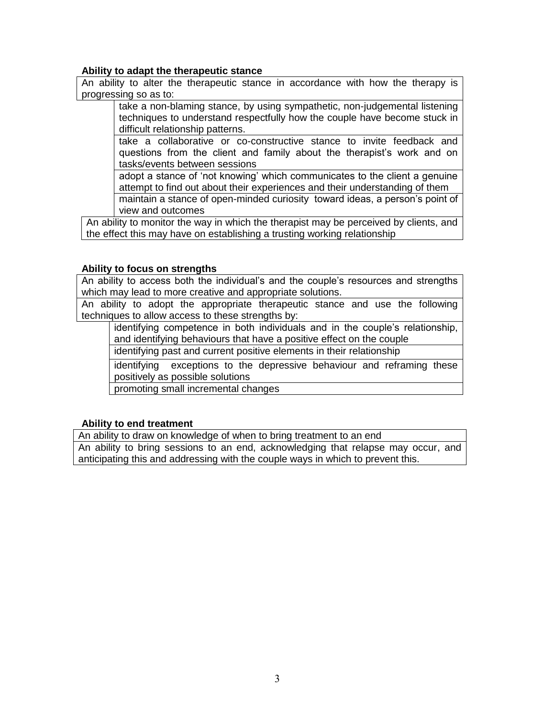### **Ability to adapt the therapeutic stance**

An ability to alter the therapeutic stance in accordance with how the therapy is progressing so as to:

take a non-blaming stance, by using sympathetic, non-judgemental listening techniques to understand respectfully how the couple have become stuck in difficult relationship patterns.

take a collaborative or co-constructive stance to invite feedback and questions from the client and family about the therapist's work and on tasks/events between sessions

adopt a stance of 'not knowing' which communicates to the client a genuine attempt to find out about their experiences and their understanding of them maintain a stance of open-minded curiosity toward ideas, a person's point of

view and outcomes

An ability to monitor the way in which the therapist may be perceived by clients, and the effect this may have on establishing a trusting working relationship

### **Ability to focus on strengths**

An ability to access both the individual's and the couple's resources and strengths which may lead to more creative and appropriate solutions.

An ability to adopt the appropriate therapeutic stance and use the following techniques to allow access to these strengths by:

identifying competence in both individuals and in the couple's relationship, and identifying behaviours that have a positive effect on the couple

identifying past and current positive elements in their relationship

identifying exceptions to the depressive behaviour and reframing these positively as possible solutions

promoting small incremental changes

## **Ability to end treatment**

An ability to draw on knowledge of when to bring treatment to an end An ability to bring sessions to an end, acknowledging that relapse may occur, and anticipating this and addressing with the couple ways in which to prevent this.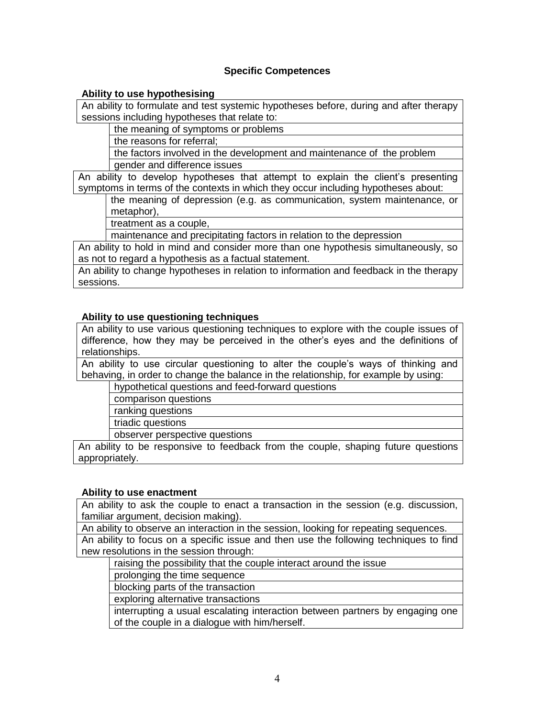## **Specific Competences**

### **Ability to use hypothesising**

An ability to formulate and test systemic hypotheses before, during and after therapy sessions including hypotheses that relate to:

the meaning of symptoms or problems

the reasons for referral;

the factors involved in the development and maintenance of the problem gender and difference issues

An ability to develop hypotheses that attempt to explain the client's presenting symptoms in terms of the contexts in which they occur including hypotheses about:

the meaning of depression (e.g. as communication, system maintenance, or metaphor),

treatment as a couple,

maintenance and precipitating factors in relation to the depression

An ability to hold in mind and consider more than one hypothesis simultaneously, so as not to regard a hypothesis as a factual statement.

An ability to change hypotheses in relation to information and feedback in the therapy sessions.

### **Ability to use questioning techniques**

An ability to use various questioning techniques to explore with the couple issues of difference, how they may be perceived in the other's eyes and the definitions of relationships.

An ability to use circular questioning to alter the couple's ways of thinking and behaving, in order to change the balance in the relationship, for example by using:

hypothetical questions and feed-forward questions

comparison questions

ranking questions

triadic questions

observer perspective questions

An ability to be responsive to feedback from the couple, shaping future questions appropriately.

#### **Ability to use enactment**

An ability to ask the couple to enact a transaction in the session (e.g. discussion, familiar argument, decision making).

An ability to observe an interaction in the session, looking for repeating sequences. An ability to focus on a specific issue and then use the following techniques to find new resolutions in the session through:

raising the possibility that the couple interact around the issue

prolonging the time sequence

blocking parts of the transaction

exploring alternative transactions

interrupting a usual escalating interaction between partners by engaging one of the couple in a dialogue with him/herself.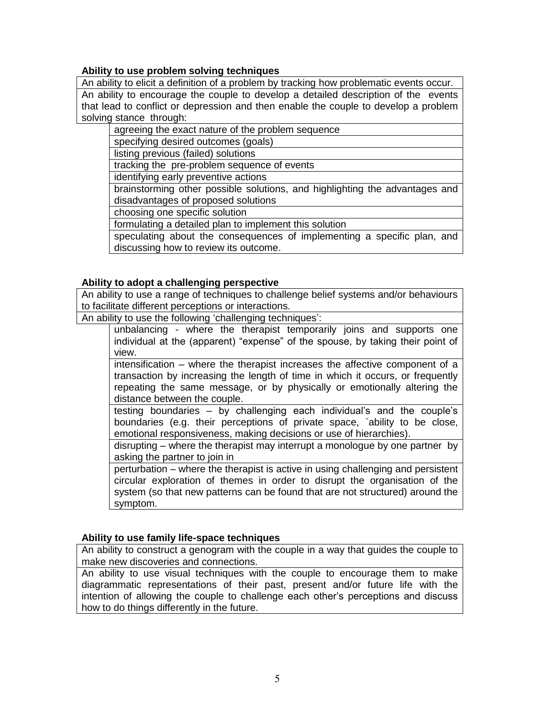## **Ability to use problem solving techniques**

An ability to elicit a definition of a problem by tracking how problematic events occur. An ability to encourage the couple to develop a detailed description of the events that lead to conflict or depression and then enable the couple to develop a problem solving stance through:

agreeing the exact nature of the problem sequence

specifying desired outcomes (goals)

listing previous (failed) solutions

tracking the pre-problem sequence of events

identifying early preventive actions

brainstorming other possible solutions, and highlighting the advantages and disadvantages of proposed solutions

choosing one specific solution

formulating a detailed plan to implement this solution

speculating about the consequences of implementing a specific plan, and discussing how to review its outcome.

### **Ability to adopt a challenging perspective**

An ability to use a range of techniques to challenge belief systems and/or behaviours to facilitate different perceptions or interactions.

An ability to use the following 'challenging techniques':

unbalancing - where the therapist temporarily joins and supports one individual at the (apparent) "expense" of the spouse, by taking their point of view.

intensification – where the therapist increases the affective component of a transaction by increasing the length of time in which it occurs, or frequently repeating the same message, or by physically or emotionally altering the distance between the couple.

testing boundaries – by challenging each individual's and the couple's boundaries (e.g. their perceptions of private space, `ability to be close, emotional responsiveness, making decisions or use of hierarchies).

disrupting – where the therapist may interrupt a monologue by one partner by asking the partner to join in

perturbation – where the therapist is active in using challenging and persistent circular exploration of themes in order to disrupt the organisation of the system (so that new patterns can be found that are not structured) around the symptom.

## **Ability to use family life-space techniques**

An ability to construct a genogram with the couple in a way that guides the couple to make new discoveries and connections.

An ability to use visual techniques with the couple to encourage them to make diagrammatic representations of their past, present and/or future life with the intention of allowing the couple to challenge each other's perceptions and discuss how to do things differently in the future.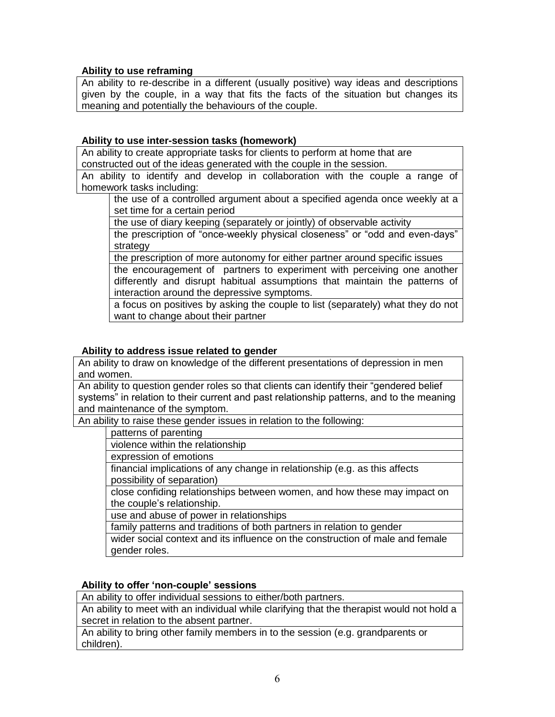## **Ability to use reframing**

An ability to re-describe in a different (usually positive) way ideas and descriptions given by the couple, in a way that fits the facts of the situation but changes its meaning and potentially the behaviours of the couple.

## **Ability to use inter-session tasks (homework)**

An ability to create appropriate tasks for clients to perform at home that are constructed out of the ideas generated with the couple in the session.

An ability to identify and develop in collaboration with the couple a range of homework tasks including:

the use of a controlled argument about a specified agenda once weekly at a set time for a certain period

the use of diary keeping (separately or jointly) of observable activity

the prescription of "once-weekly physical closeness" or "odd and even-days" strategy

the prescription of more autonomy for either partner around specific issues

the encouragement of partners to experiment with perceiving one another differently and disrupt habitual assumptions that maintain the patterns of interaction around the depressive symptoms.

a focus on positives by asking the couple to list (separately) what they do not want to change about their partner

## **Ability to address issue related to gender**

An ability to draw on knowledge of the different presentations of depression in men and women.

An ability to question gender roles so that clients can identify their "gendered belief systems" in relation to their current and past relationship patterns, and to the meaning and maintenance of the symptom.

An ability to raise these gender issues in relation to the following:

patterns of parenting

violence within the relationship

expression of emotions

financial implications of any change in relationship (e.g. as this affects possibility of separation)

close confiding relationships between women, and how these may impact on the couple's relationship.

use and abuse of power in relationships

family patterns and traditions of both partners in relation to gender

wider social context and its influence on the construction of male and female gender roles.

## **Ability to offer 'non-couple' sessions**

An ability to offer individual sessions to either/both partners.

An ability to meet with an individual while clarifying that the therapist would not hold a secret in relation to the absent partner.

An ability to bring other family members in to the session (e.g. grandparents or children).